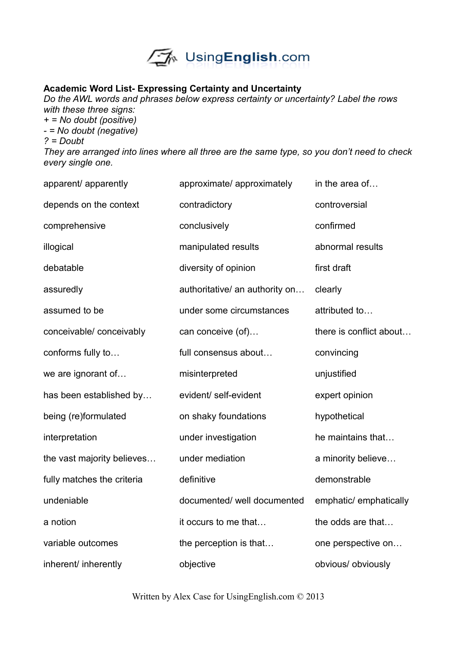

## **Academic Word List- Expressing Certainty and Uncertainty**

*Do the AWL words and phrases below express certainty or uncertainty? Label the rows with these three signs:*

*+ = No doubt (positive) - = No doubt (negative) ? = Doubt They are arranged into lines where all three are the same type, so you don't need to check every single one.*

| apparent/ apparently       | approximate/ approximately     | in the area of          |
|----------------------------|--------------------------------|-------------------------|
| depends on the context     | contradictory                  | controversial           |
| comprehensive              | conclusively                   | confirmed               |
| illogical                  | manipulated results            | abnormal results        |
| debatable                  | diversity of opinion           | first draft             |
| assuredly                  | authoritative/ an authority on | clearly                 |
| assumed to be              | under some circumstances       | attributed to           |
| conceivable/ conceivably   | can conceive (of)              | there is conflict about |
| conforms fully to          | full consensus about           | convincing              |
| we are ignorant of         | misinterpreted                 | unjustified             |
| has been established by    | evident/ self-evident          | expert opinion          |
| being (re)formulated       | on shaky foundations           | hypothetical            |
| interpretation             | under investigation            | he maintains that       |
| the vast majority believes | under mediation                | a minority believe      |
| fully matches the criteria | definitive                     | demonstrable            |
| undeniable                 | documented/ well documented    | emphatic/ emphatically  |
| a notion                   | it occurs to me that           | the odds are that       |
| variable outcomes          | the perception is that         | one perspective on      |
| inherent/ inherently       | objective                      | obvious/ obviously      |

Written by Alex Case for UsingEnglish.com © 2013